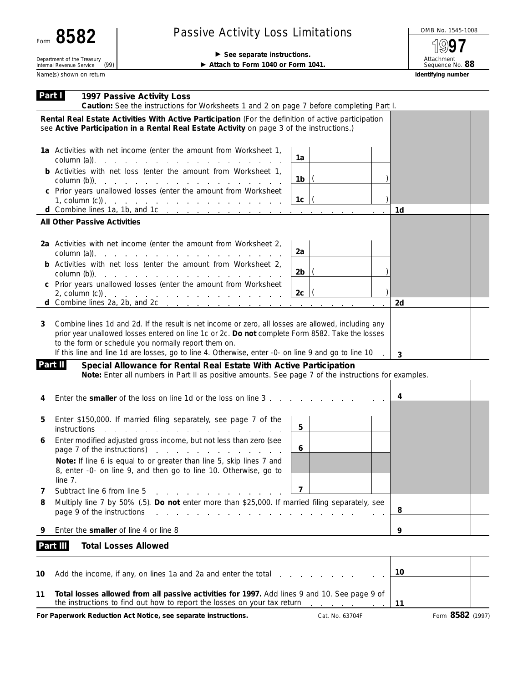| Form 8582                                                   | <b>Passive Activity Loss Limitations</b>                                                                                                                                            |    |    |                                       |  |  |
|-------------------------------------------------------------|-------------------------------------------------------------------------------------------------------------------------------------------------------------------------------------|----|----|---------------------------------------|--|--|
|                                                             |                                                                                                                                                                                     |    |    |                                       |  |  |
| Department of the Treasury                                  | $\triangleright$ See separate instructions.                                                                                                                                         |    |    |                                       |  |  |
| (99)<br>Internal Revenue Service<br>Name(s) shown on return | Attach to Form 1040 or Form 1041.                                                                                                                                                   |    |    | Sequence No. 88<br>Identifying number |  |  |
|                                                             |                                                                                                                                                                                     |    |    |                                       |  |  |
| Part I<br>1997 Passive Activity Loss                        | Caution: See the instructions for Worksheets 1 and 2 on page 7 before completing Part I.                                                                                            |    |    |                                       |  |  |
|                                                             | Rental Real Estate Activities With Active Participation (For the definition of active participation                                                                                 |    |    |                                       |  |  |
|                                                             | see Active Participation in a Rental Real Estate Activity on page 3 of the instructions.)                                                                                           |    |    |                                       |  |  |
|                                                             | 1a Activities with net income (enter the amount from Worksheet 1,                                                                                                                   |    |    |                                       |  |  |
|                                                             | $\text{column (a)}$ $\qquad \qquad \text{}$ $\qquad \qquad \text{}$ $\qquad \qquad \text{}$                                                                                         | 1a |    |                                       |  |  |
|                                                             | <b>b</b> Activities with net loss (enter the amount from Worksheet 1,<br>column $(b)$ ). $\cdots$ $\cdots$ $\cdots$ $\cdots$ $\cdots$ $\cdots$ $\cdots$ $\cdots$                    | 1b |    |                                       |  |  |
|                                                             | c Prior years unallowed losses (enter the amount from Worksheet                                                                                                                     |    |    |                                       |  |  |
|                                                             |                                                                                                                                                                                     | 1c |    |                                       |  |  |
| <b>All Other Passive Activities</b>                         | d Combine lines 1a, 1b, and 1c                                                                                                                                                      |    | 1d |                                       |  |  |
|                                                             |                                                                                                                                                                                     |    |    |                                       |  |  |
|                                                             | 2a Activities with net income (enter the amount from Worksheet 2,                                                                                                                   |    |    |                                       |  |  |
|                                                             | $\text{column (a)}$ .                                                                                                                                                               | 2a |    |                                       |  |  |
|                                                             | <b>b</b> Activities with net loss (enter the amount from Worksheet 2,                                                                                                               | 2b |    |                                       |  |  |
|                                                             | column $(b)$ ). $\cdots$ $\cdots$ $\cdots$ $\cdots$ $\cdots$ $\cdots$ $\cdots$ $\cdots$<br>c Prior years unallowed losses (enter the amount from Worksheet                          |    |    |                                       |  |  |
|                                                             |                                                                                                                                                                                     | 2c |    |                                       |  |  |
|                                                             | d Combine lines $2a$ , $2b$ , and $2c$ , , , , , ,                                                                                                                                  |    | 2d |                                       |  |  |
|                                                             | Combine lines 1d and 2d. If the result is net income or zero, all losses are allowed, including any                                                                                 |    |    |                                       |  |  |
| 3                                                           | prior year unallowed losses entered on line 1c or 2c. Do not complete Form 8582. Take the losses                                                                                    |    |    |                                       |  |  |
|                                                             | to the form or schedule you normally report them on.                                                                                                                                |    |    |                                       |  |  |
|                                                             | If this line and line 1d are losses, go to line 4. Otherwise, enter -0- on line 9 and go to line 10                                                                                 |    | 3  |                                       |  |  |
| Part II                                                     | Special Allowance for Rental Real Estate With Active Participation<br>Note: Enter all numbers in Part II as positive amounts. See page 7 of the instructions for examples.          |    |    |                                       |  |  |
|                                                             |                                                                                                                                                                                     |    |    |                                       |  |  |
| 4                                                           | Enter the smaller of the loss on line 1d or the loss on line 3                                                                                                                      |    | 4  |                                       |  |  |
|                                                             |                                                                                                                                                                                     |    |    |                                       |  |  |
|                                                             | Enter \$150,000. If married filing separately, see page 7 of the                                                                                                                    | 5  |    |                                       |  |  |
|                                                             | instructions with a state of the state of the state of the state of the state of the state of the state of the<br>Enter modified adjusted gross income, but not less than zero (see |    |    |                                       |  |  |
|                                                             | page 7 of the instructions)                                                                                                                                                         | 6  |    |                                       |  |  |
|                                                             | Note: If line 6 is equal to or greater than line 5, skip lines 7 and                                                                                                                |    |    |                                       |  |  |
|                                                             | 8, enter -0- on line 9, and then go to line 10. Otherwise, go to                                                                                                                    |    |    |                                       |  |  |
| line 7.<br>Subtract line 6 from line 5                      |                                                                                                                                                                                     | 7  |    |                                       |  |  |
| 7<br>8                                                      | and a strong of the state of<br>Multiply line 7 by 50% (.5). Do not enter more than \$25,000. If married filing separately, see                                                     |    |    |                                       |  |  |
| page 9 of the instructions                                  | والمتعاون والمتعاون والمتعاون والمتعاون والمتعاون والمتعاون والمتعاون والمتعاونة                                                                                                    |    | 8  |                                       |  |  |
|                                                             |                                                                                                                                                                                     |    |    |                                       |  |  |

**9** Enter the **smaller** of line 4 or line 8 **9**

## **Part III Total Losses Allowed**

| 10 | Add the income, if any, on lines 1a and 2a and enter the total enter-                                                                                                    | 10 |  |
|----|--------------------------------------------------------------------------------------------------------------------------------------------------------------------------|----|--|
|    | Total losses allowed from all passive activities for 1997. Add lines 9 and 10. See page 9 of<br>the instructions to find out how to report the losses on your tax return |    |  |

For Paperwork Reduction Act Notice, see separate instructions. Cat. No. 63704F Form 8582 (1997)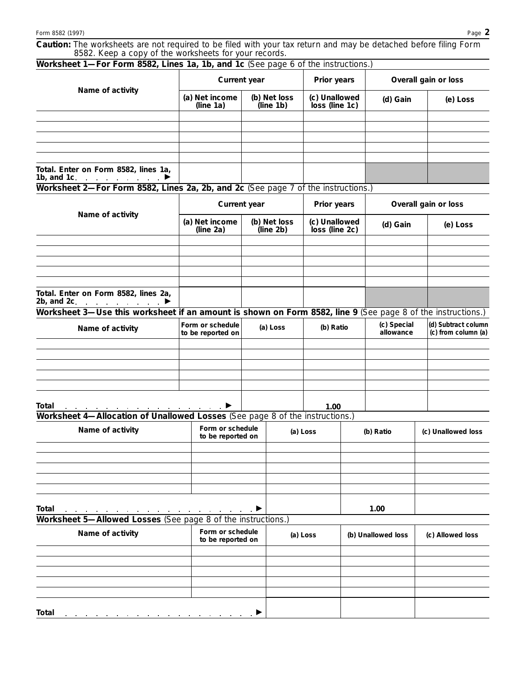**Caution:** *The worksheets are not required to be filed with your tax return and may be detached before filing Form 8582. Keep a copy of the worksheets for your records.*

| Worksheet 1—For Form 8582, Lines 1a, 1b, and 1c (See page 6 of the instructions.)                                                              |                                       |                                       |  |                                 |  |                          |                                            |  |
|------------------------------------------------------------------------------------------------------------------------------------------------|---------------------------------------|---------------------------------------|--|---------------------------------|--|--------------------------|--------------------------------------------|--|
| Name of activity                                                                                                                               | Current year                          |                                       |  | Prior years                     |  | Overall gain or loss     |                                            |  |
|                                                                                                                                                | (a) Net income<br>(line 1a)           | (b) Net loss<br>(line 1b)             |  | (c) Unallowed<br>loss (line 1c) |  | (d) Gain                 | (e) Loss                                   |  |
|                                                                                                                                                |                                       |                                       |  |                                 |  |                          |                                            |  |
|                                                                                                                                                |                                       |                                       |  |                                 |  |                          |                                            |  |
|                                                                                                                                                |                                       |                                       |  |                                 |  |                          |                                            |  |
|                                                                                                                                                |                                       |                                       |  |                                 |  |                          |                                            |  |
| Total. Enter on Form 8582, lines 1a,<br>1b, and 1c.<br>and the contract of the con-                                                            |                                       |                                       |  |                                 |  |                          |                                            |  |
| Worksheet 2-For Form 8582, Lines 2a, 2b, and 2c (See page 7 of the instructions.)                                                              |                                       |                                       |  |                                 |  |                          |                                            |  |
|                                                                                                                                                | Current year                          |                                       |  | Prior years                     |  | Overall gain or loss     |                                            |  |
| Name of activity                                                                                                                               | (a) Net income<br>(line $2a$ )        | (b) Net loss<br>(line 2b)             |  | (c) Unallowed<br>loss (line 2c) |  | (d) Gain                 | (e) Loss                                   |  |
|                                                                                                                                                |                                       |                                       |  |                                 |  |                          |                                            |  |
|                                                                                                                                                |                                       |                                       |  |                                 |  |                          |                                            |  |
|                                                                                                                                                |                                       |                                       |  |                                 |  |                          |                                            |  |
| Total. Enter on Form 8582, lines 2a,<br>2b, and 2c.                                                                                            |                                       |                                       |  |                                 |  |                          |                                            |  |
| the contract of the contract of<br>Worksheet 3—Use this worksheet if an amount is shown on Form 8582, line 9 (See page 8 of the instructions.) |                                       |                                       |  |                                 |  |                          |                                            |  |
| Name of activity                                                                                                                               | Form or schedule<br>to be reported on | (a) Loss                              |  | (b) Ratio                       |  | (c) Special<br>allowance | (d) Subtract column<br>(c) from column (a) |  |
|                                                                                                                                                |                                       |                                       |  |                                 |  |                          |                                            |  |
|                                                                                                                                                |                                       |                                       |  |                                 |  |                          |                                            |  |
|                                                                                                                                                |                                       |                                       |  |                                 |  |                          |                                            |  |
|                                                                                                                                                |                                       |                                       |  |                                 |  |                          |                                            |  |
| Total                                                                                                                                          |                                       |                                       |  | 1.00                            |  |                          |                                            |  |
| Worksheet 4-Allocation of Unallowed Losses (See page 8 of the instructions.)                                                                   |                                       |                                       |  |                                 |  |                          |                                            |  |
| Name of activity                                                                                                                               | Form or schedule<br>to be reported on |                                       |  | (a) Loss                        |  | (b) Ratio                | (c) Unallowed loss                         |  |
|                                                                                                                                                |                                       |                                       |  |                                 |  |                          |                                            |  |
|                                                                                                                                                |                                       |                                       |  |                                 |  |                          |                                            |  |
|                                                                                                                                                |                                       |                                       |  |                                 |  |                          |                                            |  |
|                                                                                                                                                |                                       |                                       |  |                                 |  |                          |                                            |  |
| <b>Total</b><br>Worksheet 5-Allowed Losses (See page 8 of the instructions.)                                                                   |                                       |                                       |  |                                 |  | 1.00                     |                                            |  |
| Name of activity                                                                                                                               |                                       | Form or schedule<br>to be reported on |  | (a) Loss                        |  | (b) Unallowed loss       | (c) Allowed loss                           |  |
|                                                                                                                                                |                                       |                                       |  |                                 |  |                          |                                            |  |
|                                                                                                                                                |                                       |                                       |  |                                 |  |                          |                                            |  |
|                                                                                                                                                |                                       |                                       |  |                                 |  |                          |                                            |  |
|                                                                                                                                                |                                       |                                       |  |                                 |  |                          |                                            |  |
| Total                                                                                                                                          |                                       |                                       |  |                                 |  |                          |                                            |  |
|                                                                                                                                                |                                       |                                       |  |                                 |  |                          |                                            |  |